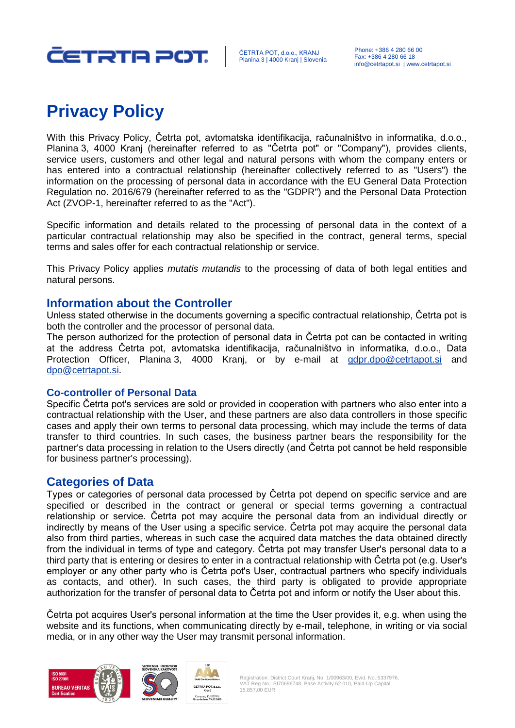

# **Privacy Policy**

With this Privacy Policy, Četrta pot, avtomatska identifikacija, računalništvo in informatika, d.o.o., Planina 3, 4000 Kranj (hereinafter referred to as "Četrta pot" or "Company"), provides clients, service users, customers and other legal and natural persons with whom the company enters or has entered into a contractual relationship (hereinafter collectively referred to as "Users") the information on the processing of personal data in accordance with the EU General Data Protection Regulation no. 2016/679 (hereinafter referred to as the "GDPR") and the Personal Data Protection Act (ZVOP-1, hereinafter referred to as the "Act").

Specific information and details related to the processing of personal data in the context of a particular contractual relationship may also be specified in the contract, general terms, special terms and sales offer for each contractual relationship or service.

This Privacy Policy applies *mutatis mutandis* to the processing of data of both legal entities and natural persons.

# **Information about the Controller**

Unless stated otherwise in the documents governing a specific contractual relationship, Četrta pot is both the controller and the processor of personal data.

The person authorized for the protection of personal data in Četrta pot can be contacted in writing at the address Četrta pot, avtomatska identifikacija, računalništvo in informatika, d.o.o., Data Protection Officer, Planina 3, 4000 Kranj, or by e-mail at [gdpr.dpo@cetrtapot.si](mailto:gdpr.dpo@cetrtapot.si) and [dpo@cetrtapot.si.](mailto:dpo@cetrtapot.si)

## **Co-controller of Personal Data**

Specific Četrta pot's services are sold or provided in cooperation with partners who also enter into a contractual relationship with the User, and these partners are also data controllers in those specific cases and apply their own terms to personal data processing, which may include the terms of data transfer to third countries. In such cases, the business partner bears the responsibility for the partner's data processing in relation to the Users directly (and Četrta pot cannot be held responsible for business partner's processing).

# **Categories of Data**

Types or categories of personal data processed by Četrta pot depend on specific service and are specified or described in the contract or general or special terms governing a contractual relationship or service. Četrta pot may acquire the personal data from an individual directly or indirectly by means of the User using a specific service. Četrta pot may acquire the personal data also from third parties, whereas in such case the acquired data matches the data obtained directly from the individual in terms of type and category. Četrta pot may transfer User's personal data to a third party that is entering or desires to enter in a contractual relationship with Četrta pot (e.g. User's employer or any other party who is Četrta pot's User, contractual partners who specify individuals as contacts, and other). In such cases, the third party is obligated to provide appropriate authorization for the transfer of personal data to Četrta pot and inform or notify the User about this.

Četrta pot acquires User's personal information at the time the User provides it, e.g. when using the website and its functions, when communicating directly by e-mail, telephone, in writing or via social media, or in any other way the User may transmit personal information.





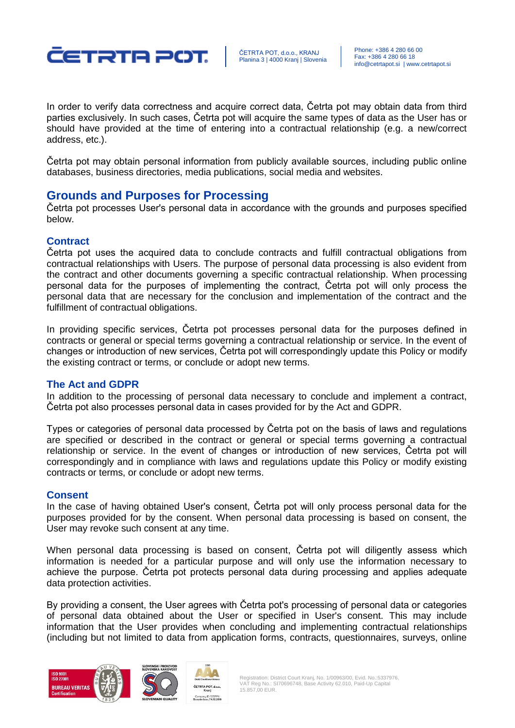

ČETRTA POT, d.o.o., KRANJ Planina 3 | 4000 Kranj | Slovenia

In order to verify data correctness and acquire correct data, Četrta pot may obtain data from third parties exclusively. In such cases, Četrta pot will acquire the same types of data as the User has or should have provided at the time of entering into a contractual relationship (e.g. a new/correct address, etc.).

Četrta pot may obtain personal information from publicly available sources, including public online databases, business directories, media publications, social media and websites.

## **Grounds and Purposes for Processing**

Četrta pot processes User's personal data in accordance with the grounds and purposes specified below.

## **Contract**

Četrta pot uses the acquired data to conclude contracts and fulfill contractual obligations from contractual relationships with Users. The purpose of personal data processing is also evident from the contract and other documents governing a specific contractual relationship. When processing personal data for the purposes of implementing the contract, Četrta pot will only process the personal data that are necessary for the conclusion and implementation of the contract and the fulfillment of contractual obligations.

In providing specific services, Četrta pot processes personal data for the purposes defined in contracts or general or special terms governing a contractual relationship or service. In the event of changes or introduction of new services, Četrta pot will correspondingly update this Policy or modify the existing contract or terms, or conclude or adopt new terms.

#### **The Act and GDPR**

In addition to the processing of personal data necessary to conclude and implement a contract, Četrta pot also processes personal data in cases provided for by the Act and GDPR.

Types or categories of personal data processed by Četrta pot on the basis of laws and regulations are specified or described in the contract or general or special terms governing a contractual relationship or service. In the event of changes or introduction of new services, Četrta pot will correspondingly and in compliance with laws and regulations update this Policy or modify existing contracts or terms, or conclude or adopt new terms.

#### **Consent**

In the case of having obtained User's consent, Četrta pot will only process personal data for the purposes provided for by the consent. When personal data processing is based on consent, the User may revoke such consent at any time.

When personal data processing is based on consent, Četrta pot will diligently assess which information is needed for a particular purpose and will only use the information necessary to achieve the purpose. Četrta pot protects personal data during processing and applies adequate data protection activities.

By providing a consent, the User agrees with Četrta pot's processing of personal data or categories of personal data obtained about the User or specified in User's consent. This may include information that the User provides when concluding and implementing contractual relationships (including but not limited to data from application forms, contracts, questionnaires, surveys, online





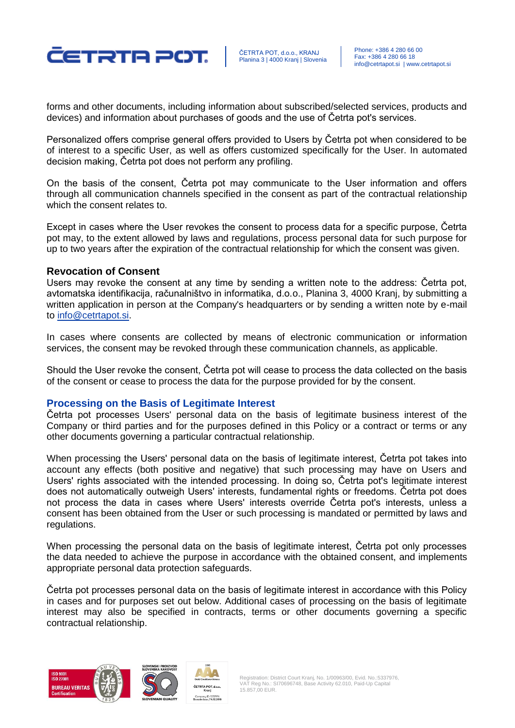

ČETRTA POT, d.o.o., KRANJ Planina 3 | 4000 Krani | Slovenia

forms and other documents, including information about subscribed/selected services, products and devices) and information about purchases of goods and the use of Četrta pot's services.

Personalized offers comprise general offers provided to Users by Četrta pot when considered to be of interest to a specific User, as well as offers customized specifically for the User. In automated decision making, Četrta pot does not perform any profiling.

On the basis of the consent, Četrta pot may communicate to the User information and offers through all communication channels specified in the consent as part of the contractual relationship which the consent relates to.

Except in cases where the User revokes the consent to process data for a specific purpose, Četrta pot may, to the extent allowed by laws and regulations, process personal data for such purpose for up to two years after the expiration of the contractual relationship for which the consent was given.

#### **Revocation of Consent**

Users may revoke the consent at any time by sending a written note to the address: Četrta pot, avtomatska identifikacija, računalništvo in informatika, d.o.o., Planina 3, 4000 Kranj, by submitting a written application in person at the Company's headquarters or by sending a written note by e-mail to [info@cetrtapot.si.](mailto:info@cetrtapot.si)

In cases where consents are collected by means of electronic communication or information services, the consent may be revoked through these communication channels, as applicable.

Should the User revoke the consent, Četrta pot will cease to process the data collected on the basis of the consent or cease to process the data for the purpose provided for by the consent.

#### **Processing on the Basis of Legitimate Interest**

Četrta pot processes Users' personal data on the basis of legitimate business interest of the Company or third parties and for the purposes defined in this Policy or a contract or terms or any other documents governing a particular contractual relationship.

When processing the Users' personal data on the basis of legitimate interest, Četrta pot takes into account any effects (both positive and negative) that such processing may have on Users and Users' rights associated with the intended processing. In doing so, Četrta pot's legitimate interest does not automatically outweigh Users' interests, fundamental rights or freedoms. Četrta pot does not process the data in cases where Users' interests override Četrta pot's interests, unless a consent has been obtained from the User or such processing is mandated or permitted by laws and regulations.

When processing the personal data on the basis of legitimate interest, Četrta pot only processes the data needed to achieve the purpose in accordance with the obtained consent, and implements appropriate personal data protection safeguards.

Četrta pot processes personal data on the basis of legitimate interest in accordance with this Policy in cases and for purposes set out below. Additional cases of processing on the basis of legitimate interest may also be specified in contracts, terms or other documents governing a specific contractual relationship.





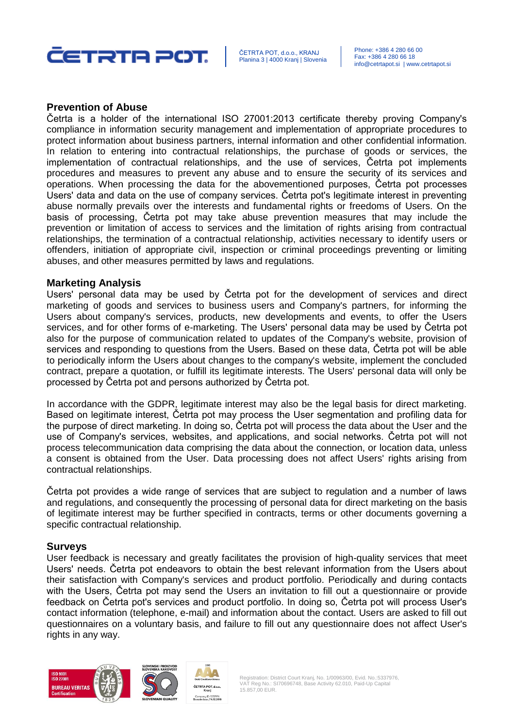

#### **Prevention of Abuse**

Četrta is a holder of the international ISO 27001:2013 certificate thereby proving Company's compliance in information security management and implementation of appropriate procedures to protect information about business partners, internal information and other confidential information. In relation to entering into contractual relationships, the purchase of goods or services, the implementation of contractual relationships, and the use of services, Četrta pot implements procedures and measures to prevent any abuse and to ensure the security of its services and operations. When processing the data for the abovementioned purposes, Četrta pot processes Users' data and data on the use of company services. Četrta pot's legitimate interest in preventing abuse normally prevails over the interests and fundamental rights or freedoms of Users. On the basis of processing, Četrta pot may take abuse prevention measures that may include the prevention or limitation of access to services and the limitation of rights arising from contractual relationships, the termination of a contractual relationship, activities necessary to identify users or offenders, initiation of appropriate civil, inspection or criminal proceedings preventing or limiting abuses, and other measures permitted by laws and regulations.

#### **Marketing Analysis**

Users' personal data may be used by Četrta pot for the development of services and direct marketing of goods and services to business users and Company's partners, for informing the Users about company's services, products, new developments and events, to offer the Users services, and for other forms of e-marketing. The Users' personal data may be used by Četrta pot also for the purpose of communication related to updates of the Company's website, provision of services and responding to questions from the Users. Based on these data, Četrta pot will be able to periodically inform the Users about changes to the company's website, implement the concluded contract, prepare a quotation, or fulfill its legitimate interests. The Users' personal data will only be processed by Četrta pot and persons authorized by Četrta pot.

In accordance with the GDPR, legitimate interest may also be the legal basis for direct marketing. Based on legitimate interest, Četrta pot may process the User segmentation and profiling data for the purpose of direct marketing. In doing so, Četrta pot will process the data about the User and the use of Company's services, websites, and applications, and social networks. Četrta pot will not process telecommunication data comprising the data about the connection, or location data, unless a consent is obtained from the User. Data processing does not affect Users' rights arising from contractual relationships.

Četrta pot provides a wide range of services that are subject to regulation and a number of laws and regulations, and consequently the processing of personal data for direct marketing on the basis of legitimate interest may be further specified in contracts, terms or other documents governing a specific contractual relationship.

#### **Surveys**

User feedback is necessary and greatly facilitates the provision of high-quality services that meet Users' needs. Četrta pot endeavors to obtain the best relevant information from the Users about their satisfaction with Company's services and product portfolio. Periodically and during contacts with the Users, Četrta pot may send the Users an invitation to fill out a questionnaire or provide feedback on Četrta pot's services and product portfolio. In doing so, Četrta pot will process User's contact information (telephone, e-mail) and information about the contact. Users are asked to fill out questionnaires on a voluntary basis, and failure to fill out any questionnaire does not affect User's rights in any way.







Registration: District Court Kranj, No. 1/00963/00, Evid. No.:5337976, VAT Reg No.: SI70696748, Base Activity 62.010, Paid-Up Capital 15.857,00 EUR.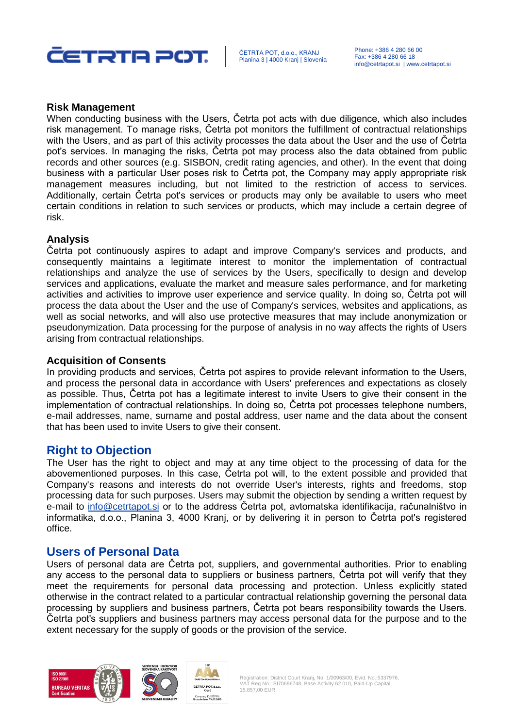

#### **Risk Management**

When conducting business with the Users, Četrta pot acts with due diligence, which also includes risk management. To manage risks, Četrta pot monitors the fulfillment of contractual relationships with the Users, and as part of this activity processes the data about the User and the use of Četrta pot's services. In managing the risks, Četrta pot may process also the data obtained from public records and other sources (e.g. SISBON, credit rating agencies, and other). In the event that doing business with a particular User poses risk to Četrta pot, the Company may apply appropriate risk management measures including, but not limited to the restriction of access to services. Additionally, certain Četrta pot's services or products may only be available to users who meet certain conditions in relation to such services or products, which may include a certain degree of risk.

#### **Analysis**

Četrta pot continuously aspires to adapt and improve Company's services and products, and consequently maintains a legitimate interest to monitor the implementation of contractual relationships and analyze the use of services by the Users, specifically to design and develop services and applications, evaluate the market and measure sales performance, and for marketing activities and activities to improve user experience and service quality. In doing so, Četrta pot will process the data about the User and the use of Company's services, websites and applications, as well as social networks, and will also use protective measures that may include anonymization or pseudonymization. Data processing for the purpose of analysis in no way affects the rights of Users arising from contractual relationships.

#### **Acquisition of Consents**

In providing products and services, Četrta pot aspires to provide relevant information to the Users, and process the personal data in accordance with Users' preferences and expectations as closely as possible. Thus, Četrta pot has a legitimate interest to invite Users to give their consent in the implementation of contractual relationships. In doing so, Četrta pot processes telephone numbers, e-mail addresses, name, surname and postal address, user name and the data about the consent that has been used to invite Users to give their consent.

## **Right to Objection**

The User has the right to object and may at any time object to the processing of data for the abovementioned purposes. In this case, Četrta pot will, to the extent possible and provided that Company's reasons and interests do not override User's interests, rights and freedoms, stop processing data for such purposes. Users may submit the objection by sending a written request by e-mail to [info@cetrtapot.si](mailto:info@cetrtapot.si) or to the address Četrta pot, avtomatska identifikacija, računalništvo in informatika, d.o.o., Planina 3, 4000 Kranj, or by delivering it in person to Četrta pot's registered office.

## **Users of Personal Data**

Users of personal data are Četrta pot, suppliers, and governmental authorities. Prior to enabling any access to the personal data to suppliers or business partners, Četrta pot will verify that they meet the requirements for personal data processing and protection. Unless explicitly stated otherwise in the contract related to a particular contractual relationship governing the personal data processing by suppliers and business partners, Četrta pot bears responsibility towards the Users. Četrta pot's suppliers and business partners may access personal data for the purpose and to the extent necessary for the supply of goods or the provision of the service.







Registration: District Court Kranj, No. 1/00963/00, Evid. No.:5337976, VAT Reg No.: SI70696748, Base Activity 62.010, Paid-Up Capital 15.857,00 EUR.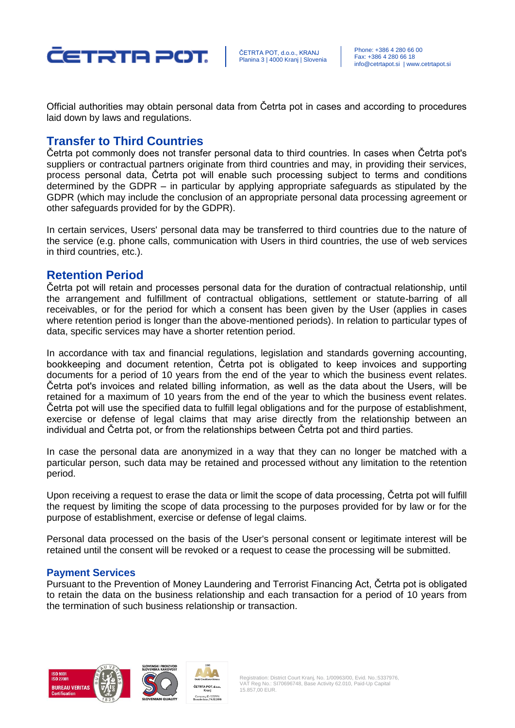

ČETRTA POT, d.o.o., KRANJ Planina 3 | 4000 Krani | Slovenia

Official authorities may obtain personal data from Četrta pot in cases and according to procedures laid down by laws and regulations.

# **Transfer to Third Countries**

Četrta pot commonly does not transfer personal data to third countries. In cases when Četrta pot's suppliers or contractual partners originate from third countries and may, in providing their services, process personal data, Četrta pot will enable such processing subject to terms and conditions determined by the GDPR – in particular by applying appropriate safeguards as stipulated by the GDPR (which may include the conclusion of an appropriate personal data processing agreement or other safeguards provided for by the GDPR).

In certain services, Users' personal data may be transferred to third countries due to the nature of the service (e.g. phone calls, communication with Users in third countries, the use of web services in third countries, etc.).

## **Retention Period**

Četrta pot will retain and processes personal data for the duration of contractual relationship, until the arrangement and fulfillment of contractual obligations, settlement or statute-barring of all receivables, or for the period for which a consent has been given by the User (applies in cases where retention period is longer than the above-mentioned periods). In relation to particular types of data, specific services may have a shorter retention period.

In accordance with tax and financial regulations, legislation and standards governing accounting, bookkeeping and document retention, Četrta pot is obligated to keep invoices and supporting documents for a period of 10 years from the end of the year to which the business event relates. Četrta pot's invoices and related billing information, as well as the data about the Users, will be retained for a maximum of 10 years from the end of the year to which the business event relates. Četrta pot will use the specified data to fulfill legal obligations and for the purpose of establishment, exercise or defense of legal claims that may arise directly from the relationship between an individual and Četrta pot, or from the relationships between Četrta pot and third parties.

In case the personal data are anonymized in a way that they can no longer be matched with a particular person, such data may be retained and processed without any limitation to the retention period.

Upon receiving a request to erase the data or limit the scope of data processing, Četrta pot will fulfill the request by limiting the scope of data processing to the purposes provided for by law or for the purpose of establishment, exercise or defense of legal claims.

Personal data processed on the basis of the User's personal consent or legitimate interest will be retained until the consent will be revoked or a request to cease the processing will be submitted.

#### **Payment Services**

Pursuant to the Prevention of Money Laundering and Terrorist Financing Act, Četrta pot is obligated to retain the data on the business relationship and each transaction for a period of 10 years from the termination of such business relationship or transaction.





Company ID: 5337976

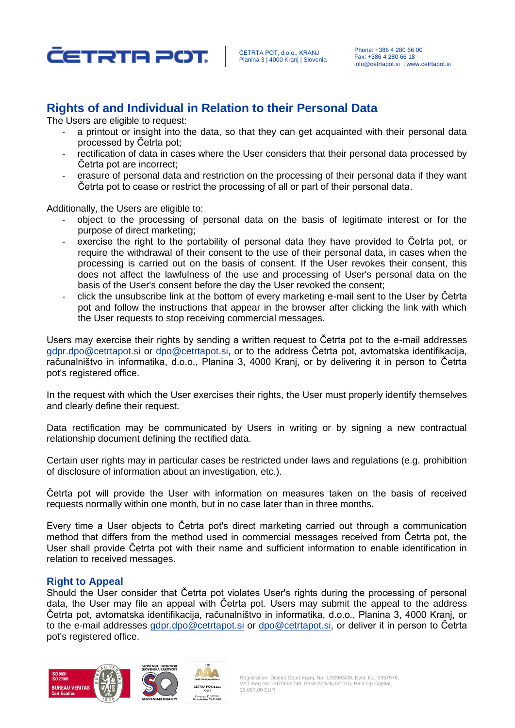

# **Rights of and Individual in Relation to their Personal Data**

The Users are eligible to request:

- a printout or insight into the data, so that they can get acquainted with their personal data processed by Četrta pot;
- rectification of data in cases where the User considers that their personal data processed by Četrta pot are incorrect;
- erasure of personal data and restriction on the processing of their personal data if they want Četrta pot to cease or restrict the processing of all or part of their personal data.

Additionally, the Users are eligible to:

- object to the processing of personal data on the basis of legitimate interest or for the purpose of direct marketing;
- exercise the right to the portability of personal data they have provided to Cetrta pot, or require the withdrawal of their consent to the use of their personal data, in cases when the processing is carried out on the basis of consent. If the User revokes their consent, this does not affect the lawfulness of the use and processing of User's personal data on the basis of the User's consent before the day the User revoked the consent;
- click the unsubscribe link at the bottom of every marketing e-mail sent to the User by Četrta pot and follow the instructions that appear in the browser after clicking the link with which the User requests to stop receiving commercial messages.

Users may exercise their rights by sending a written request to Četrta pot to the e-mail addresses [gdpr.dpo@cetrtapot.si](mailto:gdpr.dpo@cetrtapot.si) or [dpo@cetrtapot.si,](mailto:dpo@cetrtapot.si) or to the address Četrta pot, avtomatska identifikacija, računalništvo in informatika, d.o.o., Planina 3, 4000 Kranj, or by delivering it in person to Četrta pot's registered office.

In the request with which the User exercises their rights, the User must properly identify themselves and clearly define their request.

Data rectification may be communicated by Users in writing or by signing a new contractual relationship document defining the rectified data.

Certain user rights may in particular cases be restricted under laws and regulations (e.g. prohibition of disclosure of information about an investigation, etc.).

Četrta pot will provide the User with information on measures taken on the basis of received requests normally within one month, but in no case later than in three months.

Every time a User objects to Četrta pot's direct marketing carried out through a communication method that differs from the method used in commercial messages received from Četrta pot, the User shall provide Četrta pot with their name and sufficient information to enable identification in relation to received messages.

#### **Right to Appeal**

Should the User consider that Četrta pot violates User's rights during the processing of personal data, the User may file an appeal with Četrta pot. Users may submit the appeal to the address Četrta pot, avtomatska identifikacija, računalništvo in informatika, d.o.o., Planina 3, 4000 Kranj, or to the e-mail addresses [gdpr.dpo@cetrtapot.si](mailto:gdpr.dpo@cetrtapot.si) or [dpo@cetrtapot.si,](mailto:dpo@cetrtapot.si) or deliver it in person to Četrta pot's registered office.